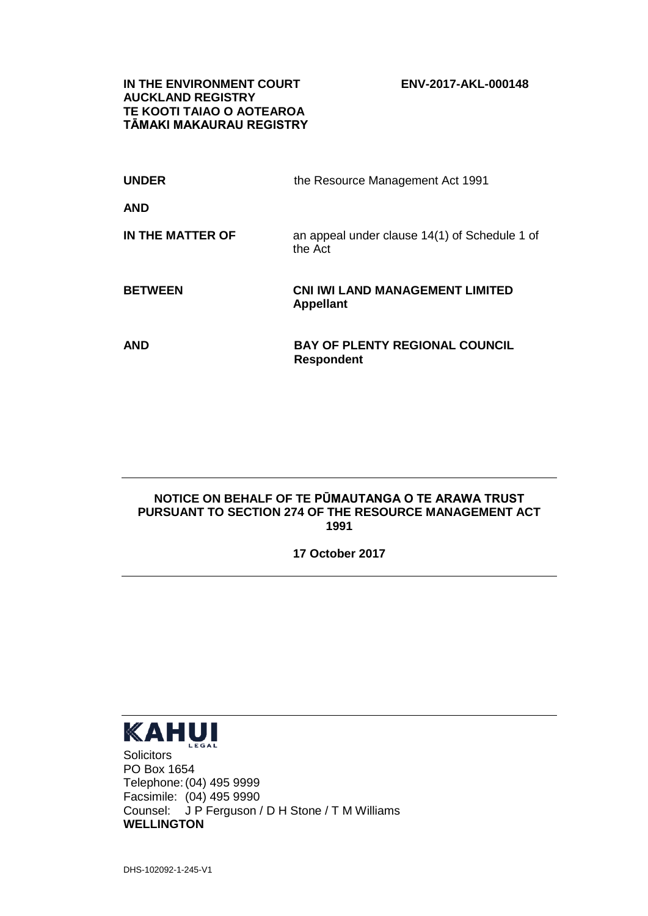**IN THE ENVIRONMENT COURT ENV-2017-AKL-000148 AUCKLAND REGISTRY TE KOOTI TAIAO O AOTEAROA TĀMAKI MAKAURAU REGISTRY**

| <b>UNDER</b>     | the Resource Management Act 1991                         |
|------------------|----------------------------------------------------------|
| <b>AND</b>       |                                                          |
| IN THE MATTER OF | an appeal under clause 14(1) of Schedule 1 of<br>the Act |
| <b>BETWEEN</b>   | <b>CNI IWI LAND MANAGEMENT LIMITED</b>                   |
|                  | <b>Appellant</b>                                         |

## **NOTICE ON BEHALF OF TE PŪMAUTANGA O TE ARAWA TRUST PURSUANT TO SECTION 274 OF THE RESOURCE MANAGEMENT ACT 1991**

**17 October 2017**



**Solicitors** PO Box 1654 Telephone:(04) 495 9999 Facsimile: (04) 495 9990 Counsel: J P Ferguson / D H Stone / T M Williams **WELLINGTON**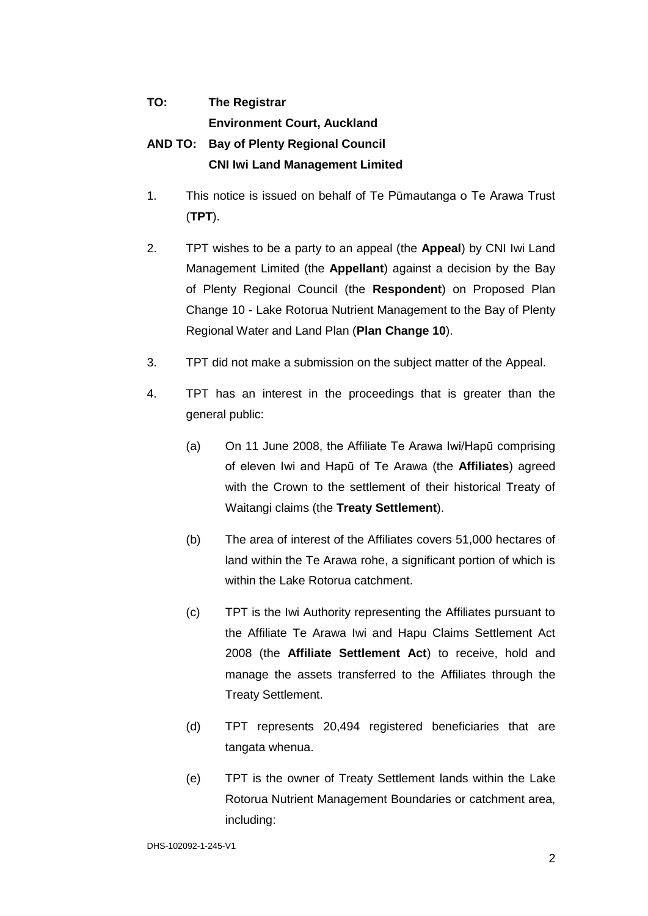## **TO: The Registrar Environment Court, Auckland AND TO: Bay of Plenty Regional Council CNI Iwi Land Management Limited**

- 1. This notice is issued on behalf of Te Pūmautanga o Te Arawa Trust (**TPT**).
- 2. TPT wishes to be a party to an appeal (the **Appeal**) by CNI Iwi Land Management Limited (the **Appellant**) against a decision by the Bay of Plenty Regional Council (the **Respondent**) on Proposed Plan Change 10 - Lake Rotorua Nutrient Management to the Bay of Plenty Regional Water and Land Plan (**Plan Change 10**).
- 3. TPT did not make a submission on the subject matter of the Appeal.
- 4. TPT has an interest in the proceedings that is greater than the general public:
	- (a) On 11 June 2008, the Affiliate Te Arawa Iwi/Hapū comprising of eleven Iwi and Hapū of Te Arawa (the **Affiliates**) agreed with the Crown to the settlement of their historical Treaty of Waitangi claims (the **Treaty Settlement**).
	- (b) The area of interest of the Affiliates covers 51,000 hectares of land within the Te Arawa rohe, a significant portion of which is within the Lake Rotorua catchment.
	- (c) TPT is the Iwi Authority representing the Affiliates pursuant to the Affiliate Te Arawa Iwi and Hapu Claims Settlement Act 2008 (the **Affiliate Settlement Act**) to receive, hold and manage the assets transferred to the Affiliates through the Treaty Settlement.
	- (d) TPT represents 20,494 registered beneficiaries that are tangata whenua.
	- (e) TPT is the owner of Treaty Settlement lands within the Lake Rotorua Nutrient Management Boundaries or catchment area, including: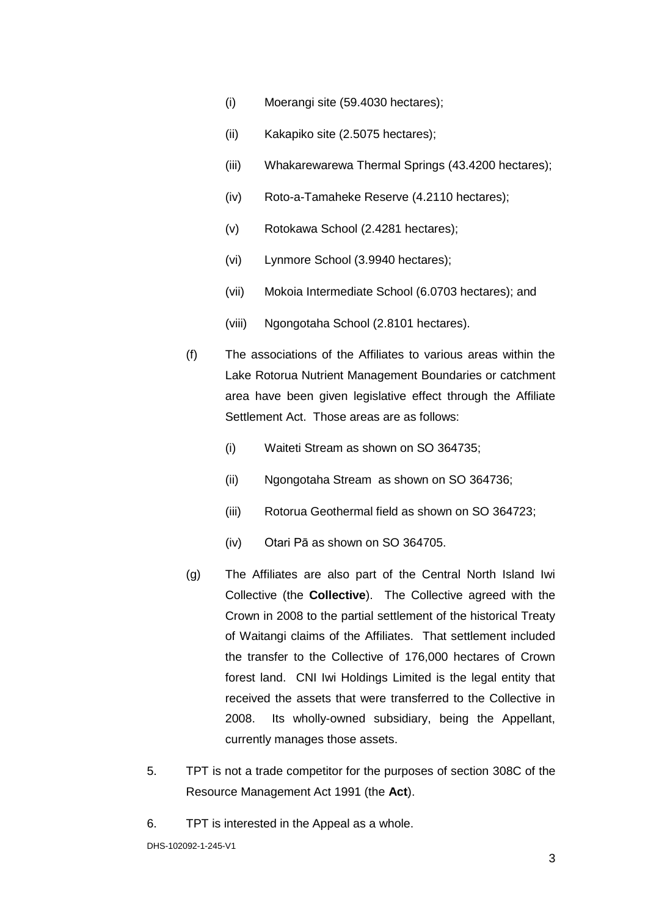- (i) Moerangi site (59.4030 hectares);
- (ii) Kakapiko site (2.5075 hectares);
- (iii) Whakarewarewa Thermal Springs (43.4200 hectares);
- (iv) Roto-a-Tamaheke Reserve (4.2110 hectares);
- (v) Rotokawa School (2.4281 hectares);
- (vi) Lynmore School (3.9940 hectares);
- (vii) Mokoia Intermediate School (6.0703 hectares); and
- (viii) Ngongotaha School (2.8101 hectares).
- (f) The associations of the Affiliates to various areas within the Lake Rotorua Nutrient Management Boundaries or catchment area have been given legislative effect through the Affiliate Settlement Act. Those areas are as follows:
	- (i) Waiteti Stream as shown on SO 364735;
	- (ii) Ngongotaha Stream as shown on SO 364736;
	- (iii) Rotorua Geothermal field as shown on SO 364723;
	- (iv) Otari Pā as shown on SO 364705.
- (g) The Affiliates are also part of the Central North Island Iwi Collective (the **Collective**). The Collective agreed with the Crown in 2008 to the partial settlement of the historical Treaty of Waitangi claims of the Affiliates. That settlement included the transfer to the Collective of 176,000 hectares of Crown forest land. CNI Iwi Holdings Limited is the legal entity that received the assets that were transferred to the Collective in 2008. Its wholly-owned subsidiary, being the Appellant, currently manages those assets.
- 5. TPT is not a trade competitor for the purposes of section 308C of the Resource Management Act 1991 (the **Act**).
- 6. TPT is interested in the Appeal as a whole.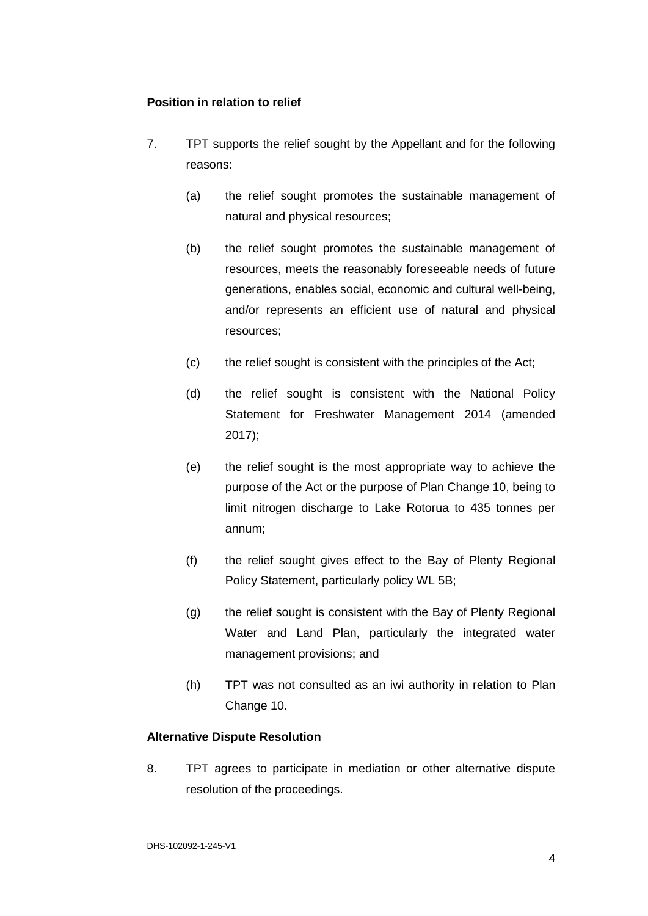## **Position in relation to relief**

- 7. TPT supports the relief sought by the Appellant and for the following reasons:
	- (a) the relief sought promotes the sustainable management of natural and physical resources;
	- (b) the relief sought promotes the sustainable management of resources, meets the reasonably foreseeable needs of future generations, enables social, economic and cultural well-being, and/or represents an efficient use of natural and physical resources;
	- (c) the relief sought is consistent with the principles of the Act;
	- (d) the relief sought is consistent with the National Policy Statement for Freshwater Management 2014 (amended 2017);
	- (e) the relief sought is the most appropriate way to achieve the purpose of the Act or the purpose of Plan Change 10, being to limit nitrogen discharge to Lake Rotorua to 435 tonnes per annum;
	- (f) the relief sought gives effect to the Bay of Plenty Regional Policy Statement, particularly policy WL 5B;
	- (g) the relief sought is consistent with the Bay of Plenty Regional Water and Land Plan, particularly the integrated water management provisions; and
	- (h) TPT was not consulted as an iwi authority in relation to Plan Change 10.

## **Alternative Dispute Resolution**

8. TPT agrees to participate in mediation or other alternative dispute resolution of the proceedings.